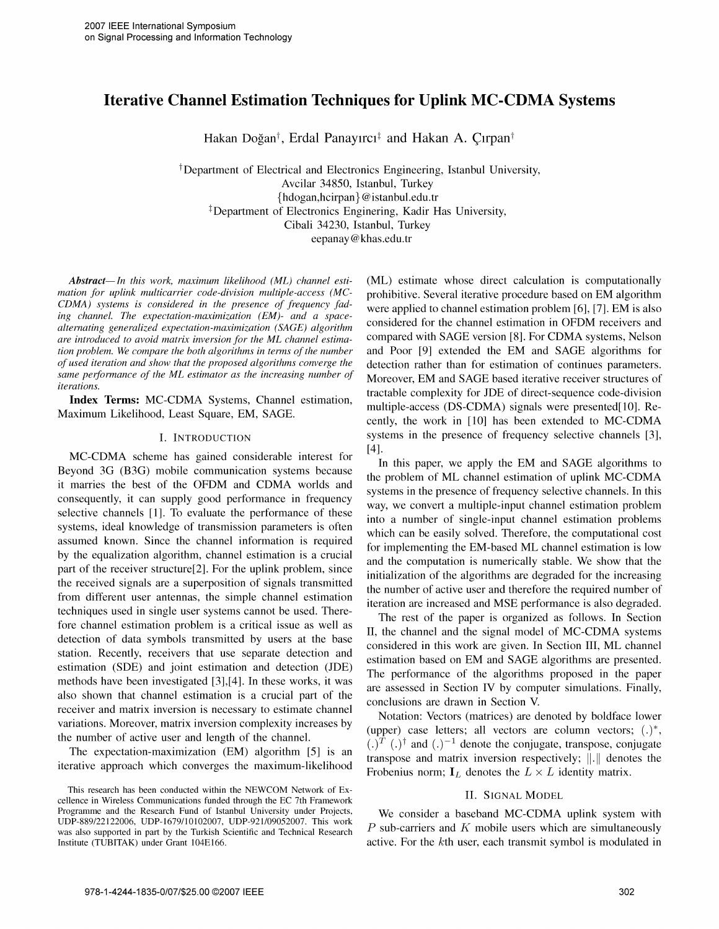# Iterative Channel Estimation Techniques for Uplink MC-CDMA Systems

Hakan Doğan<sup>†</sup>, Erdal Panayırcı<sup>‡</sup> and Hakan A. Çırpan<sup>†</sup>

tDepartment of Electrical and Electronics Engineering, Istanbul University, Avcilar 34850, Istanbul, Turkey {hdogan,hcirpan} @istanbul.edu.tr <sup>‡</sup>Department of Electronics Enginering, Kadir Has University, Cibali 34230, Istanbul, Turkey eepanay @khas.edu.tr

mation for uplink multicarrier code-division multiple-access (MC- prohibitive. Several iterative procedure based on EM algorithm CDMA) systems is considered in the presence of frequency fad-<br>were applied to channel estimation problem [6], [7]. EM is also ing channel. The expectation-maximization (EM)- and a spacealternating generalized expectation-maximization (EM)- and a space-<br>alternating generalized expectation-maximization (SAGE) algorithm<br>are introduced to avoid matrix inversion for the ML channel estima-<br>compared with SAGE v are introduced to avoid matrix inversion for the ML channel estima-<br>tion problem. We compare the both algorithms in terms of the number and Poor [9] extended the EM and SAGE algorithms for of used iteration and show that the proposed algorithms converge the detection rather than for estimation of continues parameters. same performance of the ML estimator as the increasing number of Moreover, EM and SAGE based iterative receiver structures of iterations.

MC-CDMA scheme has gained considerable interest for  $\begin{bmatrix} 4 \end{bmatrix}$ . In this paper, we apply the EM and SAGE algorithms to Beyond 3G (B3G) mobile communication systems because the problem of ML channel estimation of uplink MC-CDMA it marries the best of the OFDM and CDMA worlds and superfactor of the supplying  $\frac{1}{2}$  by  $\frac{1}{2}$  way, we convert a multiple-input channel estimation problem selective channels [1]. To evaluate the performance of these integral pumpler of single input channel estimat systems, ideal knowledge of transmission parameters is often into a number of single-input channel estimation problems which an be easily solved. Therefore, the computational cost assumed known. Since the channel information is required for implementing the EM-based ML channel estimation is low by the equalization algorithm, channel estimation is a crucial part of the receiver structure[2]. For the uplink problem, since  $\frac{1}{2}$  initialization of the algorithms are degraded for the increasing the received signals are a superposition of signals transmitted<br>from different user antennas, the simple channel estimation<br>techniques used in single user systems cannot be used. There-<br>fore channel estimation problem is a detection of data symbols transmitted by users at the base<br>telection of data symbols transmitted by users at the base<br>testing problem is a considered in this work are given. In Section III, ML channel station. Recently, receivers that use separate detection and estimation based on EM and SAGE algorithms are presented.<br>
estimation (SDE) and joint estimation and detection (JDE) estimation (SDE) and joint estimation and detection  $(DE)$  The performance of the algorithms proposed in the paper methods have been investigated [3],[4]. In these works, it was are assessed in Section IV by computer simul also shown that channel estimation is a crucial part of the are assessed in Section IV by compreceiver and matrix inversion is necessary to estimate channel receiver and matrix inversion is necessary to estimate channel Notation: Vectors (matrices) are denoted by boldface lower variations. Moreover, matrix inversion complexity increases by  $($ we and lower and lower and lower

Abstract—In this work, maximum likelihood (ML) channel esti- (ML) estimate whose direct calculation is computationally and Poor [9] extended the EM and SAGE algorithms for Index Terms: MC-CDMA Systems, Channel estimation,<br>Maximum Likelihood, Least Square, EM, SAGE.<br>Maximum Likelihood, Least Square, EM, SAGE.<br>eently, the work in [10] has been extended to MC-CDMA I. INTRODUCTION systems in the presence of frequency selective channels [3],

> systems in the presence of frequency selective channels. In this and the computation is numerically stable. We show that the

the number of active user and length of the channel.<br>(i)<sup>T</sup> (i)<sup>†</sup> and (i)<sup>-1</sup> denote the conjugate, transpose, conjugate The expectation-maximization (EM) algorithm [5] is an<br>iterative approach which converges the maximum-likelihood<br>Frobenius norm;  $I_L$  denotes the  $L \times L$  identity matrix.

active. For the  $k$ th user, each transmit symbol is modulated in

This research has been conducted within the NEWCOM Network of Ex-This research has been conducted whilm the NEWCOM Network of Ex-<br>cellence in Wireless Communications funded through the EC 7th Framework<br>Programme and the Research Fund of Istanbul University under Projects,<br>We consider a Programme and the Research Fund of Istanbul University under Projects, UDP-889/22122006, UDP-1679/10102007, UDP-921/09052007. This work was also supported in part by the Turkish Scientific and Technical Research  $P$  sub-carriers and K mobile users which are simultaneously<br>Institute (TUBITAK) under Grant 104E166.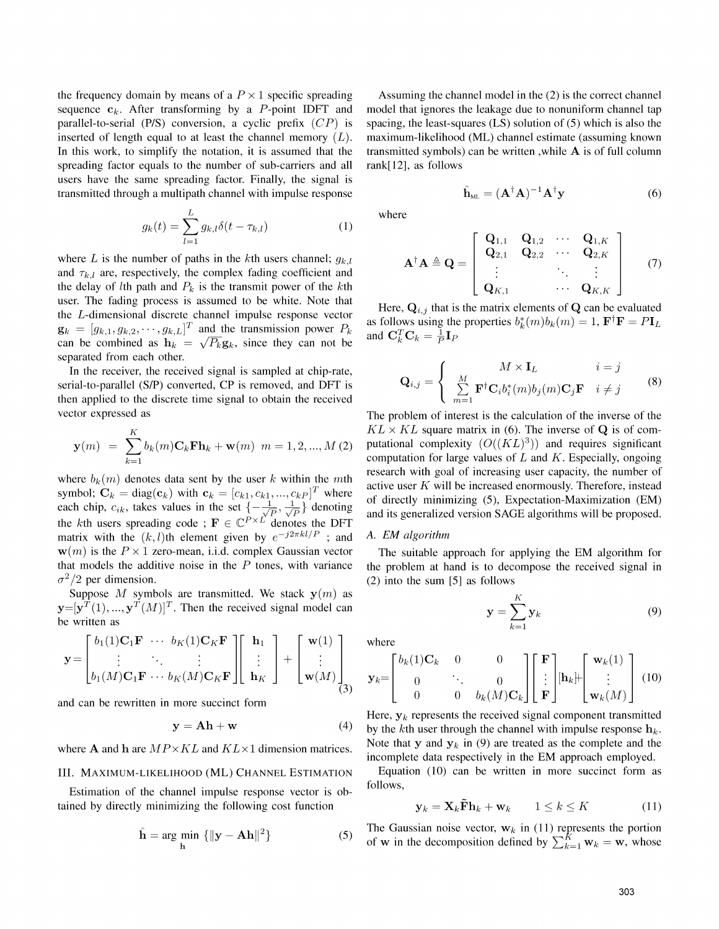the frequency domain by means of a  $P \times 1$  specific spreading Assuming the channel model in the (2) is the correct channel sequence  $c_k$ . After transforming by a P-point IDFT and model that ignores the leakage due to nonuniform channel tap parallel-to-serial (P/S) conversion, a cyclic prefix  $(CP)$  is spacing, the least-squares (LS) solution of (5) which is also the inserted of length equal to at least the channel memory  $(L)$ . maximum-likelihood (ML) channel estimate (assuming known In this work, to simplify the notation, it is assumed that the transmitted symbols) can be written, while  $A$  is of full column spreading factor equals to the number of sub-carriers and all rank[12], as follows users have the same spreading factor. Finally, the signal is transmitted through a multipath channel with impulse response  $\hat{A}$ 

$$
g_k(t) = \sum_{l=1}^{L} g_{k,l} \delta(t - \tau_{k,l})
$$
 (1)

where L is the number of paths in the kth users channel;  $g_{k,l}$ and  $\tau_{k,l}$  are, respectively, the complex fading coefficient and the delay of *l*th path and  $P_k$  is the transmit power of the *k*th user. The fading process is assumed to be white. Note that Here,  $Q_{i,j}$  that is the matrix elements of Q can be evaluated the  $L$ -dimensional discrete channel impulse response vector  $\mathbf{g}_k = [g_{k,1}, g_{k,2}, \cdots, g_{k,L}]$  and the dansmission power  $F_k$  and  $\mathbf{C}_k^T \mathbf{C}_k = \frac{1}{P} \mathbf{I}_P$ <br>can be combined as  $\mathbf{h}_k = \sqrt{P_k} \mathbf{g}_k$ , since they can not be separated from each other.

In the receiver, the received signal is sampled at chip-rate, serial-to-parallel  $(S/P)$  converted, CP is removed, and DFT is then applied to the discrete time signal to obtain the received vector expressed as The problem of interest is the calculation of the inverse of the

$$
\mathbf{y}(m) = \sum_{k=1}^{K} b_k(m) \mathbf{C}_k \mathbf{F} \mathbf{h}_k + \mathbf{w}(m) \ m = 1, 2, ..., M (2)
$$

the kth users spreading code ;  $\mathbf{F} \in \mathbb{C}^{P \times L^{\mathsf{T}}}$  denotes the DFT matrix with the  $(k, l)$ th element given by  $e^{-j2\pi kl/P}$ ; and A. EM algorithm  $\mathbf{w}(m)$  is the P  $\times$  1 zero-mean, i.i.d. complex Gaussian vector The suitable approach for applying the EM algorithm for that models the additive noise in the  $P$  tones, with variance the problem at hand is to decompose the received signal in  $\sigma^2/2$  per dimension. (2) into the sum [5] as follows

Suppose M symbols are transmitted. We stack  $y(m)$  as  $\mathbf{y}=[\mathbf{y}^T(1), ..., \mathbf{y}^T(M)]^T$ . Then the received signal model can be written as be written as  $\frac{1}{k}$ 

$$
\mathbf{y} = \begin{bmatrix} b_1(1)\mathbf{C}_1\mathbf{F} & \cdots & b_K(1)\mathbf{C}_K\mathbf{F} \\ \vdots & \ddots & \vdots \\ b_1(M)\mathbf{C}_1\mathbf{F} & \cdots & b_K(M)\mathbf{C}_K\mathbf{F} \end{bmatrix} \begin{bmatrix} \mathbf{h}_1 \\ \vdots \\ \mathbf{h}_K \end{bmatrix} + \begin{bmatrix} \mathbf{w}(1) \\ \vdots \\ \mathbf{w}(M) \end{bmatrix} \quad \mathbf{y}_k = \begin{bmatrix} b_k(1)\mathbf{C}_k & 0 & 0 \\ 0 & \ddots & 0 \\ 0 & 0 & b_k(M)\mathbf{C}_k \end{bmatrix} \begin{bmatrix} \mathbf{F} \\ \vdots \\ \mathbf{F} \end{bmatrix} \begin{bmatrix} \mathbf{w}_k(1) \\ \vdots \\ \mathbf{w}(M) \end{bmatrix}.
$$

and can be rewritten in more succinct form

$$
y = Ah + w \tag{4}
$$

Estimation of the channel impulse response vector is obtained by directly minimizing the following cost function

$$
\hat{\mathbf{h}} = \underset{\mathbf{h}}{\text{arg min}} \left\{ \|\mathbf{y} - \mathbf{A}\mathbf{h}\|^2 \right\} \tag{5}
$$

$$
\hat{\mathbf{A}}_{\mathrm{ML}} = (\mathbf{A}^{\dagger} \mathbf{A})^{-1} \mathbf{A}^{\dagger} \mathbf{y} \tag{6}
$$

where

$$
\mathbf{A}^{\dagger} \mathbf{A} \triangleq \mathbf{Q} = \left[ \begin{array}{cccc} \mathbf{Q}_{1,1} & \mathbf{Q}_{1,2} & \cdots & \mathbf{Q}_{1,K} \\ \mathbf{Q}_{2,1} & \mathbf{Q}_{2,2} & \cdots & \mathbf{Q}_{2,K} \\ \vdots & & \ddots & \vdots \\ \mathbf{Q}_{K,1} & & \cdots & \mathbf{Q}_{K,K} \end{array} \right] \qquad (7)
$$

as follows using the properties  $b_k^*(m)b_k(m) = 1$ ,  $\mathbf{F}^\dagger \mathbf{F} = P \mathbf{I}_L$  $g_k = [g_{k,1}, g_{k,2}, \cdots, g_{k,L}]^T$  and the transmission power  $P_k$  as follows using the properties  $b_k^*(m)b_k(m) = 1$ ,  $\mathbf{F}^\dagger \mathbf{F} = P \mathbf{I}_L$ 

$$
\mathbf{Q}_{i,j} = \begin{cases} M \times \mathbf{I}_L & i = j \\ \sum_{m=1}^M \mathbf{F}^\dagger \mathbf{C}_i b_i^*(m) b_j(m) \mathbf{C}_j \mathbf{F} & i \neq j \end{cases}
$$
 (8)

 $KL \times KL$  square matrix in (6). The inverse of Q is of computational complexity  $(O((KL)^3))$  and requires significant computation for large values of  $L$  and  $K$ . Especially, ongoing research with goal of increasing user capacity, the number of where  $b_k(m)$  denotes data sent by the user k within the mth active user K will be increased enormously. Therefore, instead symbol:  $C_k = \text{diag}(c_k)$  with  $c_k = [c_{k1}, c_{k1}, ..., c_{kp}]^T$  where each chip,  $c_{ik}$ , takes values in the set  ${-\frac{1}{\sqrt{P}}, \frac{1}{\sqrt{P}}}$  denoting of directly minimizing (5), Expectation-Maximization (EM) and its generalized version SAGE algorithms will be proposed.

$$
\mathbf{y} = \sum_{k=1}^{K} \mathbf{y}_k \tag{9}
$$

$$
\mathbf{y} = \begin{bmatrix} \vdots & \ddots & \vdots \\ b_1(M)\mathbf{C}_1\mathbf{F} & \cdots & b_K(M)\mathbf{C}_K\mathbf{F} \end{bmatrix} \begin{bmatrix} \vdots \\ \mathbf{h}_K \end{bmatrix} + \begin{bmatrix} \vdots \\ \mathbf{w}(M) \end{bmatrix} \mathbf{y}_k = \begin{bmatrix} b_k(1)\mathbf{C}_k & 0 & 0 \\ 0 & \ddots & 0 \\ 0 & 0 & b_k(M)\mathbf{C}_k \end{bmatrix} \begin{bmatrix} \mathbf{F} \\ \vdots \\ \mathbf{F} \end{bmatrix} [\mathbf{h}_k] + \begin{bmatrix} \mathbf{w}_k(1) \\ \vdots \\ \mathbf{w}_k(M) \end{bmatrix} (10)
$$

Here,  $y_k$  represents the received signal component transmitted by the kth user through the channel with impulse response  $h_k$ . where **A** and **h** are  $MP \times KL$  and  $KL \times 1$  dimension matrices. Note that **y** and **y**<sub>k</sub> in (9) are treated as the complete and the incomplete data respectively in the EM approach employed.

III. MAXIMUM-LIKELIHOOD (ML) CHANNEL ESTIMATION Equation (10) can be written in more succinct form as

$$
\mathbf{y}_k = \mathbf{X}_k \tilde{\mathbf{F}} \mathbf{h}_k + \mathbf{w}_k \qquad 1 \le k \le K \tag{11}
$$

rg min  ${\|{\bf y} - {\bf A}{\bf h}\|^2}$  (5) The Gaussian noise vector,  ${\bf w}_k$  in (11) represents the portion of w in the decomposition defined by  $\sum_{k=1}^{K} {\bf w}_k = {\bf w}$ , whose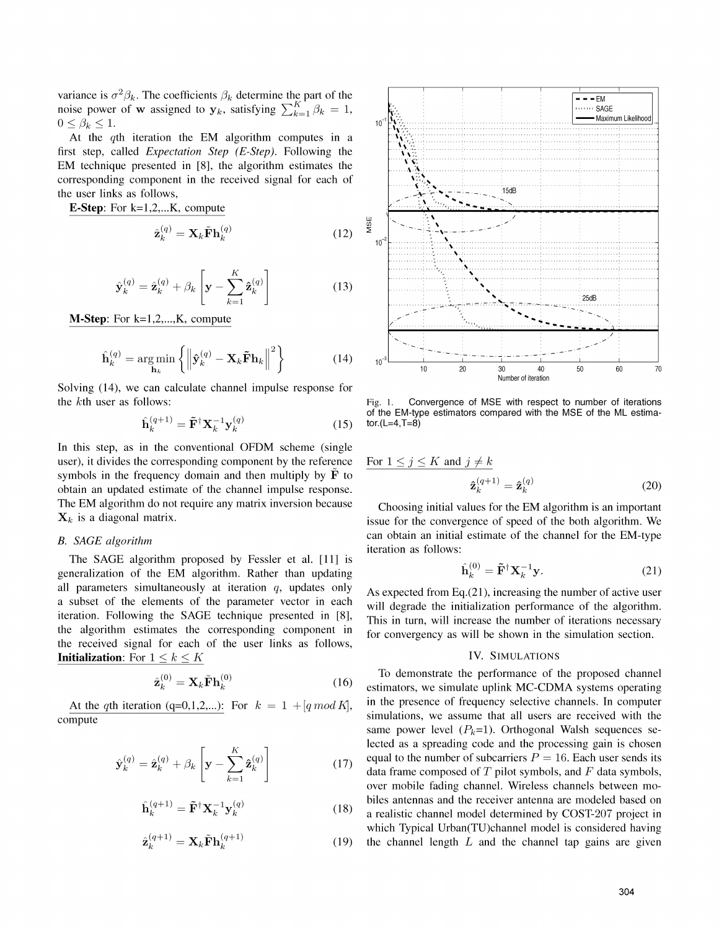variance is  $\sigma^2 \beta_k$ . The coefficients  $\beta_k$  determine the part of the  $\Box$ noise power of w assigned to  $y_k$ , satisfying  $\sum_{k=1}^{K^-} \beta_k = 1$ ,  $\beta_k$  is the same same same same same.  $0 \leq \beta_k \leq 1$ .

At the  $q$ th iteration the EM algorithm computes in a first step, called Expectation Step (E-Step). Following the EM technique presented in  $[8]$ , the algorithm estimates the... corresponding component in the received signal for each of  $\frac{1}{2}$ ,  $\frac{1}{2}$ ,  $\frac{1}{2}$ ,  $\frac{1}{2}$ ,  $\frac{1}{2}$ ,  $\frac{1}{2}$ ,  $\frac{1}{2}$ the user links as follows,

**E-Step:** For k=1,2,...K, compute  $\hat{\mathbf{r}}$   $(\mathbf{q})$   $\mathbf{v}$   $\tilde{\mathbf{r}}$   $(\mathbf{q})$   $(\mathbf{r})$   $(\mathbf{r})$   $(\mathbf{r})$   $(\mathbf{r})$   $(\mathbf{r})$   $(\mathbf{r})$   $(\mathbf{r})$   $(\mathbf{r})$   $(\mathbf{r})$   $(\mathbf{r})$   $(\mathbf{r})$   $(\mathbf{r})$   $(\mathbf{r})$   $(\mathbf{r})$   $(\mathbf{r})$   $(\$ 

$$
\hat{\mathbf{z}}_k^{(q)} = \mathbf{X}_k \tilde{\mathbf{F}} \mathbf{h}_k^{(q)}
$$
(12)

$$
\hat{\mathbf{y}}_k^{(q)} = \hat{\mathbf{z}}_k^{(q)} + \beta_k \left[ \mathbf{y} - \sum_{k=1}^K \hat{\mathbf{z}}_k^{(q)} \right] \tag{13}
$$

**M-Step**: For  $k=1,2,...,K$ , compute

 $\overline{\phantom{a}}$ 

$$
\hat{\mathbf{h}}_k^{(q)} = \underset{\mathbf{h}_k}{\text{arg min}} \left\{ \left\| \hat{\mathbf{y}}_k^{(q)} - \mathbf{X}_k \tilde{\mathbf{F}} \mathbf{h}_k \right\|^2 \right\} \tag{14}
$$

Solving (14), we can calculate channel impulse response for the kth user as follows: Fig. 1. Convergence of MSE with respect to number of iterations

$$
\hat{\mathbf{h}}_k^{(q+1)} = \tilde{\mathbf{F}}^\dagger \mathbf{X}_k^{-1} \mathbf{y}_k^{(q)} \tag{15} \text{ for (L=4, T=8)}
$$

In this step, as in the conventional OFDM scheme (single user), it divides the corresponding component by the reference For symbols in the frequency domain and then multiply by  $\bf{F}$  to obtain an updated estimate of the channel impulse response. The EM algorithm do not require any matrix inversion because Choosing initial values for the EM algorithm is an important

The SAGE algorithm proposed by Fessler et al. [11] is generalization of the EM algorithm. Rather than updating all parameters simultaneously at iteration q, updates only As expected from Eq.(21), increasing the number of active user the algorithm estimates the corresponding component in for convergency as will be shown in the simulation section. the received signal for each of the user links as follows, **Initialization:** For  $1 \leq k \leq K$  IV. SIMULATIONS

$$
\hat{\mathbf{z}}_k^{(0)} = \mathbf{X}_k \tilde{\mathbf{F}} \mathbf{h}_k^{(0)} \tag{16}
$$

compute

$$
\hat{\mathbf{y}}_k^{(q)} = \hat{\mathbf{z}}_k^{(q)} + \beta_k \left[ \mathbf{y} - \sum_{k=1}^K \hat{\mathbf{z}}_k^{(q)} \right] \tag{17}
$$

$$
\hat{\mathbf{h}}_k^{(q+1)} = \tilde{\mathbf{F}}^\dagger \mathbf{X}_k^{-1} \mathbf{y}_k^{(q)} \tag{18}
$$

$$
\hat{\mathbf{z}}_k^{(q+1)} = \mathbf{X}_k \tilde{\mathbf{F}} \mathbf{h}_k^{(q+1)} \tag{19}
$$



of the EM-type estimators compared with the MSE of the ML estima-<br>tor.(L=4,T=8)

$$
\frac{1 \le j \le K \text{ and } j \ne k}{\hat{\mathbf{z}}_k^{(q+1)}} = \hat{\mathbf{z}}_k^{(q)}
$$
(20)

 $X_k$  is a diagonal matrix. issue for the convergence of speed of the both algorithm. We B. SAGE algorithm can obtain an initial estimate of the channel for the EM-type iteration as follows:

$$
\hat{\mathbf{h}}_k^{(0)} = \tilde{\mathbf{F}}^\dagger \mathbf{X}_k^{-1} \mathbf{y}.\tag{21}
$$

a subset of the elements of the parameter vector in each will degrade the initialization performance of the algorithm. iteration. Following the SAGE technique presented in [8], This in turn, will increase the number of iterations necessary

To demonstrate the performance of the proposed channel estimators, we simulate uplink MC-CDMA systems operating At the qth iteration (q=0,1,2,...): For  $k = 1 + [q \mod K]$ , in the presence of frequency selective channels. In computer simulations, we assume that all users are received with the same power level  $(P_k=1)$ . Orthogonal Walsh sequences selected as a spreading code and the processing gain is chosen equal to the number of subcarriers  $P = 16$ . Each user sends its data frame composed of. T pilot symbols, and F data symbols, over mobile fading channel. Wireless channels between mobiles antennas and the receiver antenna are modeled based on a realistic channel model determined by COST-207 project in which Typical Urban(TU)channel model is considered having the channel length  $L$  and the channel tap gains are given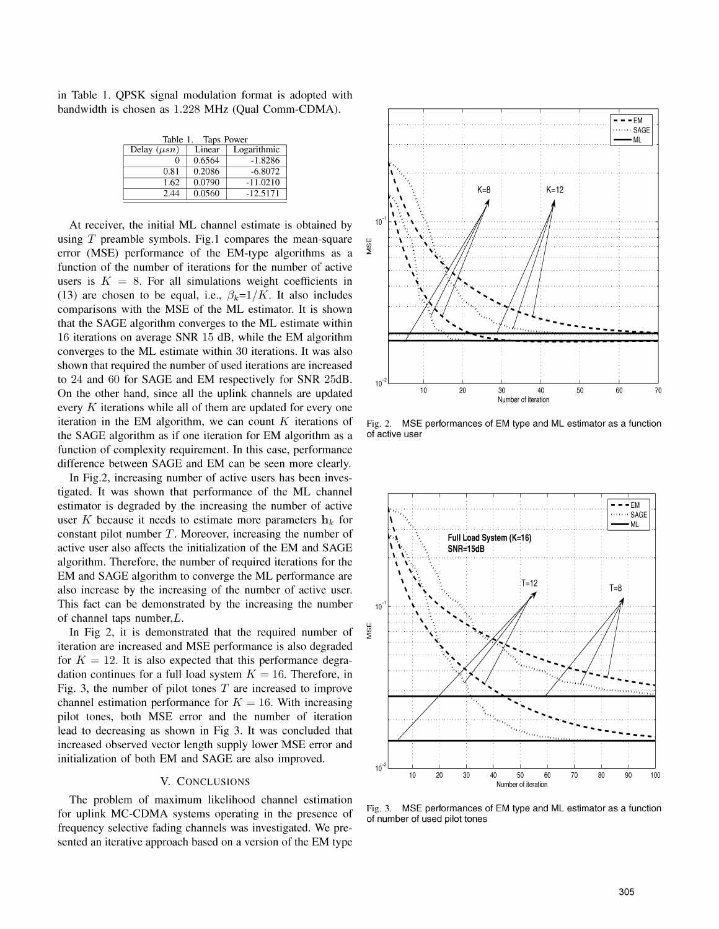in Table 1. QPSK signal modulation format is adopted with bandwidth is chosen as 1.228 MHz (Qual Comm-CDMA).

| Table 1. Taps Power |        |             |
|---------------------|--------|-------------|
| Delay $(\mu sn)$    | Linear | Logarithmic |
|                     | 0.6564 | $-1.8286$   |
| 0.81                | 0.2086 | $-6.8072$   |
| 1.62                | 0.0790 | $-11.0210$  |
| 2.44                | 0.0560 | $-12.5171$  |

At receiver, the initial ML channel estimate is obtained by using T preamble symbols. Fig.1 compares the mean-square  $\frac{w}{2}$  error (MSF) performance of the FM-type algorithms as a error (MSE) performance of the EM-type algorithms as a function of the number of iterations for the number of active users is  $K = 8$ . For all simulations weight coefficients in (13) are chosen to be equal, i.e.,  $\beta_k=1/K$ . It also includes comparisons with the MSE of the ML estimator. It is shown that the SAGE algorithm converges to the ML estimate within 16 iterations on average SNR  $15$  dB, while the EM algorithm converges to the ML estimate within <sup>30</sup> iterations. It was also shown that required the number of used iterations are increased to 24 and 60 for SAGE and EM respectively for SNR 25dB.  $\frac{1}{10}$ every  $K$  iterations while all of them are updated for every one iteration in the EM algorithm, we can count K iterations of Fig. 2. MSE performances of EM type and ML estimator as a function the SAGE algorithm as if one iteration for EM algorithm as a of active user function of complexity requirement. In this case, performance difference between SAGE and EM can be seen more clearly.

In Fig.2, increasing number of active users has been investigated. It was shown that performance of the ML channel estimator is degraded by the increasing the number of active  $\Box$   $\Box$ user K because it needs to estimate more parameters  $h_k$  for  $\left| \bigcup_{k=1}^{N} A_k \right|$ constant pilot number T. Moreover, increasing the number of Full Load System (K=16) active user also affects the initialization of the EM and SAGE  $\left|\right|$  S algorithm. Therefore, the number of required iterations for the EM and SAGE algorithm to converge the ML performance are  $\frac{1}{2}$ also increase by the increasing of the number of active user.  $\mathbf{X} = \mathbf{X} \mathbf{X} + \mathbf{X} \mathbf{X} + \mathbf{X} \mathbf{X} + \mathbf{X} \mathbf{X} + \mathbf{X} \mathbf{X} + \mathbf{X} \mathbf{X} + \mathbf{X} \mathbf{X} + \mathbf{X} \mathbf{X} + \mathbf{X} \mathbf{X} + \mathbf{X} \mathbf{X} + \mathbf{X} \mathbf{X} + \mathbf{X} \math$ This fact can be demonstrated by the increasing the number  $\frac{1}{10}$ of channel taps number, *L*.<br>In Fig 2, it is demonstrated that the required number of  $\frac{w}{2}$ 

In Fig  $2$ , it is demonstrated that the required number of iteration are increased and MSE performance is also degraded for  $K = 12$ . It is also expected that this performance degradation continues for a full load system  $K = 16$ . Therefore, in Fig. 3, the number of pilot tones  $T$  are increased to improve channel estimation performance for  $K = 16$ . With increasing pilot tones, both MSE error and the number of iteration lead to decreasing as shown in Fig 3. It was concluded that increased observed vector length supply lower MSE error and initialization of both EM and SAGE are also improved.

The problem of maximum likelihood channel estimation for uplink MC-CDMA systems operating in the presence of Fig. 3. MSE performances of EM type and ML estimator as a function for uplink MC-CDMA systems operating in the presence of  $\frac{1}{\pi}$  function of number of used pilot frequency selective fading channels was investigated. We presented an iterative approach based on <sup>a</sup> version of the EM type